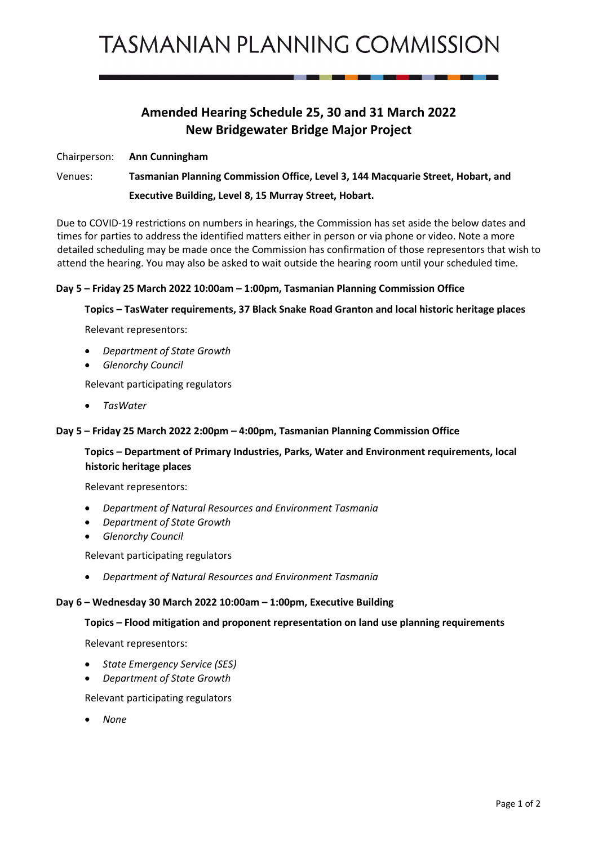## **Amended Hearing Schedule 25, 30 and 31 March 2022 New Bridgewater Bridge Major Project**

Chairperson: **Ann Cunningham**

Venues: **Tasmanian Planning Commission Office, Level 3, 144 Macquarie Street, Hobart, and Executive Building, Level 8, 15 Murray Street, Hobart.**

Due to COVID-19 restrictions on numbers in hearings, the Commission has set aside the below dates and times for parties to address the identified matters either in person or via phone or video. Note a more detailed scheduling may be made once the Commission has confirmation of those representors that wish to attend the hearing. You may also be asked to wait outside the hearing room until your scheduled time.

### **Day 5 – Friday 25 March 2022 10:00am – 1:00pm, Tasmanian Planning Commission Office**

### **Topics – TasWater requirements, 37 Black Snake Road Granton and local historic heritage places**

Relevant representors:

- *Department of State Growth*
- *Glenorchy Council*

Relevant participating regulators

• *TasWater*

### **Day 5 – Friday 25 March 2022 2:00pm – 4:00pm, Tasmanian Planning Commission Office**

### **Topics – Department of Primary Industries, Parks, Water and Environment requirements, local historic heritage places**

Relevant representors:

- *Department of Natural Resources and Environment Tasmania*
- *Department of State Growth*
- *Glenorchy Council*

Relevant participating regulators

• *Department of Natural Resources and Environment Tasmania*

## **Day 6 – Wednesday 30 March 2022 10:00am – 1:00pm, Executive Building**

## **Topics – Flood mitigation and proponent representation on land use planning requirements**

Relevant representors:

- *State Emergency Service (SES)*
- *Department of State Growth*

## Relevant participating regulators

• *None*